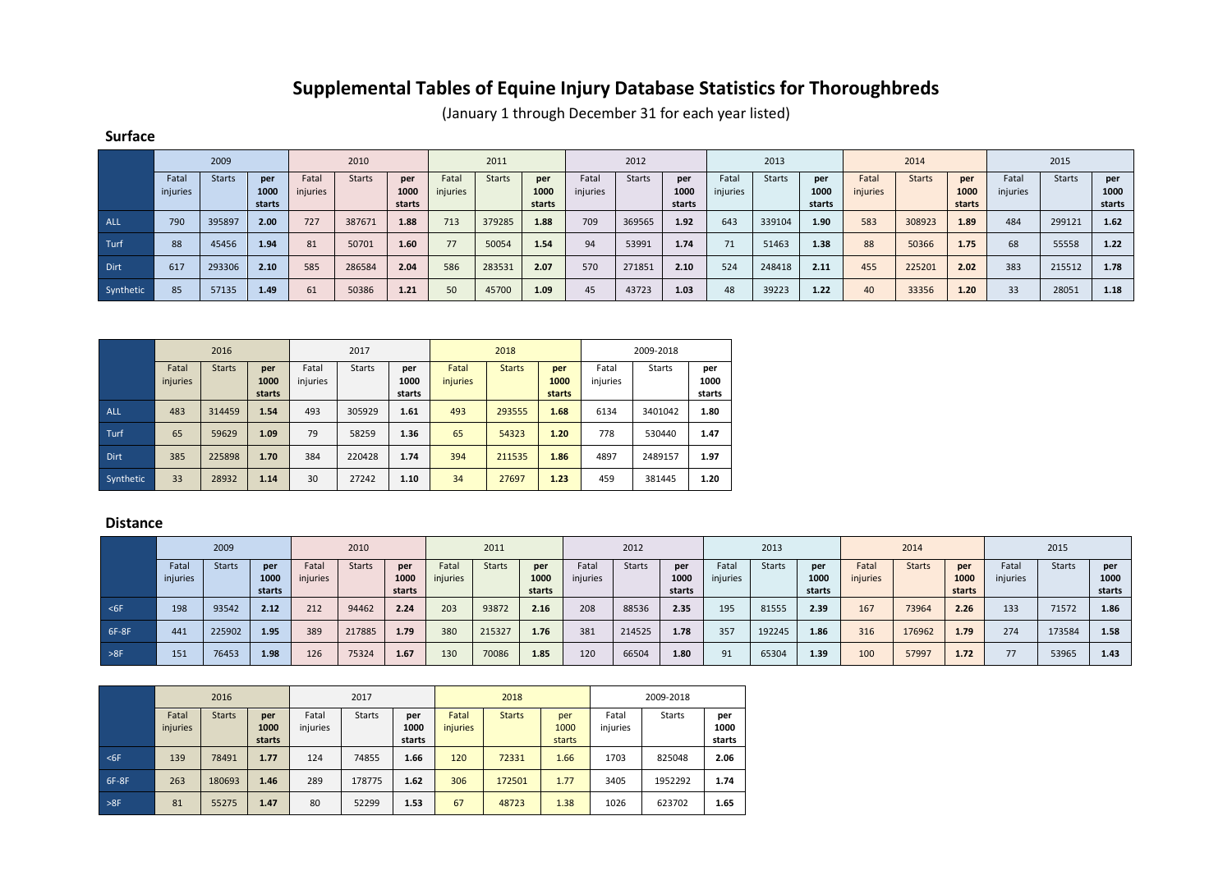## **Supplemental Tables of Equine Injury Database Statistics for Thoroughbreds**

(January 1 through December 31 for each year listed)

|             | 2009              |               | 2010                  |                   |               | 2011                  |                   |               | 2012                  |                   |               | 2013                  |                   |               | 2014                  |                   |               | 2015                  |                   |               |                       |
|-------------|-------------------|---------------|-----------------------|-------------------|---------------|-----------------------|-------------------|---------------|-----------------------|-------------------|---------------|-----------------------|-------------------|---------------|-----------------------|-------------------|---------------|-----------------------|-------------------|---------------|-----------------------|
|             | Fatal<br>injuries | <b>Starts</b> | per<br>1000<br>starts | Fatal<br>injuries | <b>Starts</b> | per<br>1000<br>starts | Fatal<br>injuries | <b>Starts</b> | per<br>1000<br>starts | Fatal<br>injuries | <b>Starts</b> | per<br>1000<br>starts | Fatal<br>injuries | <b>Starts</b> | per<br>1000<br>starts | Fatal<br>injuries | <b>Starts</b> | per<br>1000<br>starts | Fatal<br>injuries | <b>Starts</b> | per<br>1000<br>starts |
| <b>ALL</b>  | 790               | 395897        | 2.00                  | 727               | 387671        | 1.88                  | 713               | 379285        | 1.88                  | 709               | 369565        | 1.92                  | 643               | 339104        | 1.90                  | 583               | 308923        | 1.89                  | 484               | 299121        | 1.62                  |
| Turf        | 88                | 45456         | 1.94                  | 81                | 50701         | 1.60                  | 77                | 50054         | 1.54                  | 94                | 53991         | 1.74                  | 71                | 51463         | 1.38                  | 88                | 50366         | 1.75                  | 68                | 55558         | 1.22                  |
| <b>Dirt</b> | 617               | 293306        | 2.10                  | 585               | 286584        | 2.04                  | 586               | 283531        | 2.07                  | 570               | 271851        | 2.10                  | 524               | 248418        | 2.11                  | 455               | 225201        | 2.02                  | 383               | 215512        | 1.78                  |
| Synthetic   | 85                | 57135         | 1.49                  | 61                | 50386         | 1.21                  | 50                | 45700         | 1.09                  | 45                | 43723         | 1.03                  | 48                | 39223         | 1.22                  | 40                | 33356         | 1.20                  | 33                | 28051         | 1.18                  |

2016 2017 2018 2009-2018 Fatal injuries Starts **per 1000 starts** Fatal injuries Starts **per 1000 starts** Fatal injuries Starts **per 1000 starts** Fatal injuries Starts **per 1000 starts** ALL 483 314459 **1.54** 493 305929 **1.61** 493 293555 **1.68** 6134 3401042 **1.80** Turf 65 59629 **1.09** 79 58259 **1.36** 65 54323 **1.20** 778 530440 **1.47** Dirt 385 225898 **1.70** 384 220428 **1.74** 394 211535 **1.86** 4897 2489157 **1.97** Synthetic 33 28932 **1.14** 30 27242 **1.10** 34 27697 **1.23** 459 381445 **1.20**

## **Distance**

**Surface**

|        | 2009              |               | 2010                  |                   |               | 2011                  |                   |               | 2012                  |                   |               | 2013                  |                  |               | 2014                  |                   |               | 2015                  |                   |        |                       |
|--------|-------------------|---------------|-----------------------|-------------------|---------------|-----------------------|-------------------|---------------|-----------------------|-------------------|---------------|-----------------------|------------------|---------------|-----------------------|-------------------|---------------|-----------------------|-------------------|--------|-----------------------|
|        | Fatal<br>injuries | <b>Starts</b> | per<br>1000<br>starts | Fatal<br>injuries | <b>Starts</b> | per<br>1000<br>starts | Fatal<br>injuries | <b>Starts</b> | per<br>1000<br>starts | Fatal<br>injuries | <b>Starts</b> | per<br>1000<br>starts | Fata<br>injuries | <b>Starts</b> | per<br>1000<br>starts | Fatal<br>injuries | <b>Starts</b> | per<br>1000<br>starts | Fatal<br>injuries | Starts | per<br>1000<br>starts |
| $<$ 6F | 198               | 93542         | 2.12                  | 212               | 94462         | 2.24                  | 203               | 93872         | 2.16                  | 208               | 88536         | 2.35                  | 195              | 81555         | 2.39                  | 167               | 73964         | 2.26                  | 133               | 71572  | 1.86                  |
| 6F-8F  | 441               | 225902        | 1.95                  | 389               | 217885        | 1.79                  | 380               | 215327        | 1.76                  | 381               | 214525        | 1.78                  | 357              | 192245        | 1.86                  | 316               | 176962        | 1.79                  | 274               | 173584 | 1.58                  |
| >8F    | 151               | 76453         | 1.98                  | 126               | 75324         | 1.67                  | 130               | 70086         | 1.85                  | 120               | 66504         | 1.80                  | 91               | 65304         | 1.39                  | 100               | 57997         | 1.72                  | 77                | 53965  | 1.43                  |

|                  |                   | 2016          |                       |                   | 2017          |                       |                   | 2018          |                       | 2009-2018         |         |                       |  |
|------------------|-------------------|---------------|-----------------------|-------------------|---------------|-----------------------|-------------------|---------------|-----------------------|-------------------|---------|-----------------------|--|
|                  | Fatal<br>injuries | <b>Starts</b> | per<br>1000<br>starts | Fatal<br>injuries | <b>Starts</b> | per<br>1000<br>starts | Fatal<br>injuries | <b>Starts</b> | per<br>1000<br>starts | Fatal<br>injuries | Starts  | per<br>1000<br>starts |  |
| $6F$             | 139               | 78491         | 1.77                  | 124               | 74855         | 1.66                  | 120               | 72331         | 1.66                  | 1703              | 825048  | 2.06                  |  |
| 6F-8F            | 263               | 180693        | 1.46                  | 289               | 178775        | 1.62                  | 306               | 172501        | 1.77                  | 3405              | 1952292 | 1.74                  |  |
| $\rightarrow$ 8F | 81                | 55275         | 1.47                  | 80                | 52299         | 1.53                  | 67                | 48723         | 1.38                  | 1026              | 623702  | 1.65                  |  |